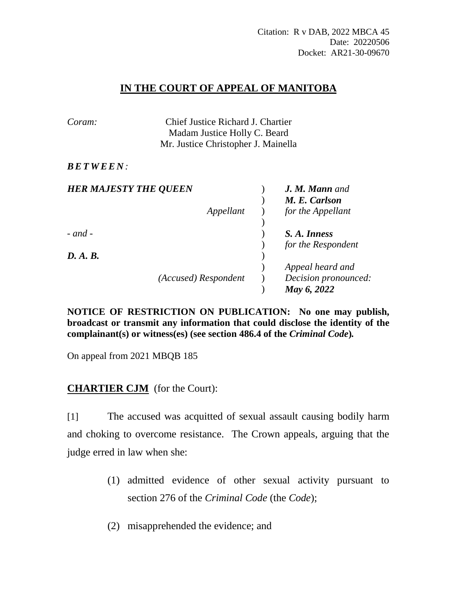## **IN THE COURT OF APPEAL OF MANITOBA**

| Coram:                       | Chief Justice Richard J. Chartier   |  |                       |
|------------------------------|-------------------------------------|--|-----------------------|
|                              | Madam Justice Holly C. Beard        |  |                       |
|                              | Mr. Justice Christopher J. Mainella |  |                       |
| <b>BETWEEN:</b>              |                                     |  |                       |
| <b>HER MAJESTY THE QUEEN</b> |                                     |  | <b>J. M. Mann</b> and |
|                              |                                     |  | M. E. Carlson         |
|                              | Appellant                           |  | for the Appellant     |
| $-$ and $-$                  |                                     |  | S. A. Inness          |
|                              |                                     |  | for the Respondent    |
| D. A. B.                     |                                     |  |                       |
|                              |                                     |  | Appeal heard and      |
|                              | (Accused) Respondent                |  | Decision pronounced:  |
|                              |                                     |  | May 6, 2022           |

**NOTICE OF RESTRICTION ON PUBLICATION: No one may publish, broadcast or transmit any information that could disclose the identity of the complainant(s) or witness(es) (see section 486.4 of the** *Criminal Code***)***.*

On appeal from 2021 MBQB 185

## **CHARTIER CJM** (for the Court):

[1] The accused was acquitted of sexual assault causing bodily harm and choking to overcome resistance. The Crown appeals, arguing that the judge erred in law when she:

- (1) admitted evidence of other sexual activity pursuant to section 276 of the *Criminal Code* (the *Code*);
- (2) misapprehended the evidence; and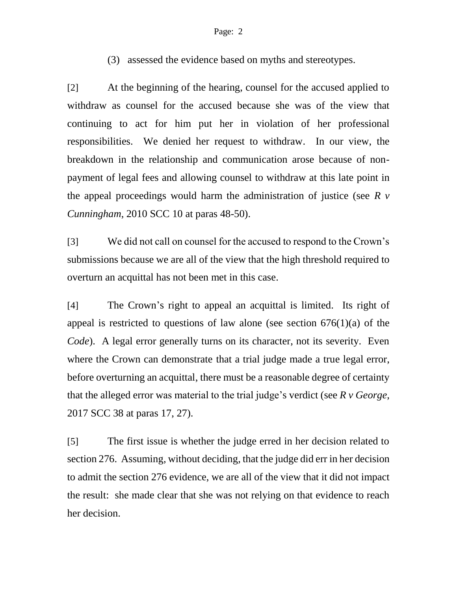## Page: 2

(3) assessed the evidence based on myths and stereotypes.

[2] At the beginning of the hearing, counsel for the accused applied to withdraw as counsel for the accused because she was of the view that continuing to act for him put her in violation of her professional responsibilities. We denied her request to withdraw. In our view, the breakdown in the relationship and communication arose because of nonpayment of legal fees and allowing counsel to withdraw at this late point in the appeal proceedings would harm the administration of justice (see *R v Cunningham*, 2010 SCC 10 at paras 48-50).

[3] We did not call on counsel for the accused to respond to the Crown's submissions because we are all of the view that the high threshold required to overturn an acquittal has not been met in this case.

[4] The Crown's right to appeal an acquittal is limited. Its right of appeal is restricted to questions of law alone (see section  $676(1)(a)$  of the *Code*). A legal error generally turns on its character, not its severity. Even where the Crown can demonstrate that a trial judge made a true legal error, before overturning an acquittal, there must be a reasonable degree of certainty that the alleged error was material to the trial judge's verdict (see *R v George*, 2017 SCC 38 at paras 17, 27).

[5] The first issue is whether the judge erred in her decision related to section 276. Assuming, without deciding, that the judge did err in her decision to admit the section 276 evidence, we are all of the view that it did not impact the result: she made clear that she was not relying on that evidence to reach her decision.